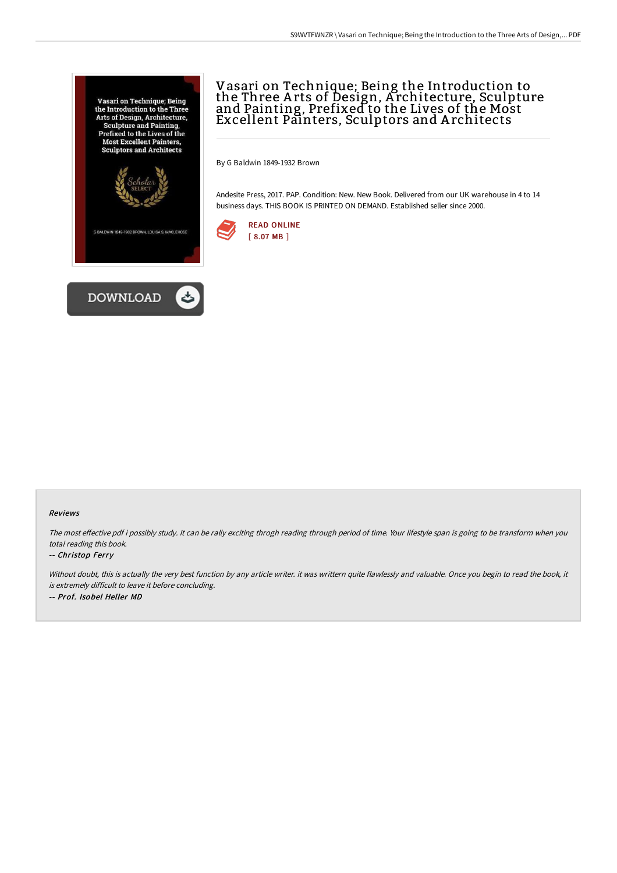



# Vasari on Technique; Being the Introduction to the Three A rts of Design, A rchitecture, Sculpture and Painting, Prefixed to the Lives of the Most Excellent Painters, Sculptors and A rchitects

By G Baldwin 1849-1932 Brown

Andesite Press, 2017. PAP. Condition: New. New Book. Delivered from our UK warehouse in 4 to 14 business days. THIS BOOK IS PRINTED ON DEMAND. Established seller since 2000.



### Reviews

The most effective pdf i possibly study. It can be rally exciting throgh reading through period of time. Your lifestyle span is going to be transform when you total reading this book.

### -- Christop Ferry

Without doubt, this is actually the very best function by any article writer. it was writtern quite flawlessly and valuable. Once you begin to read the book, it is extremely difficult to leave it before concluding. -- Prof. Isobel Heller MD